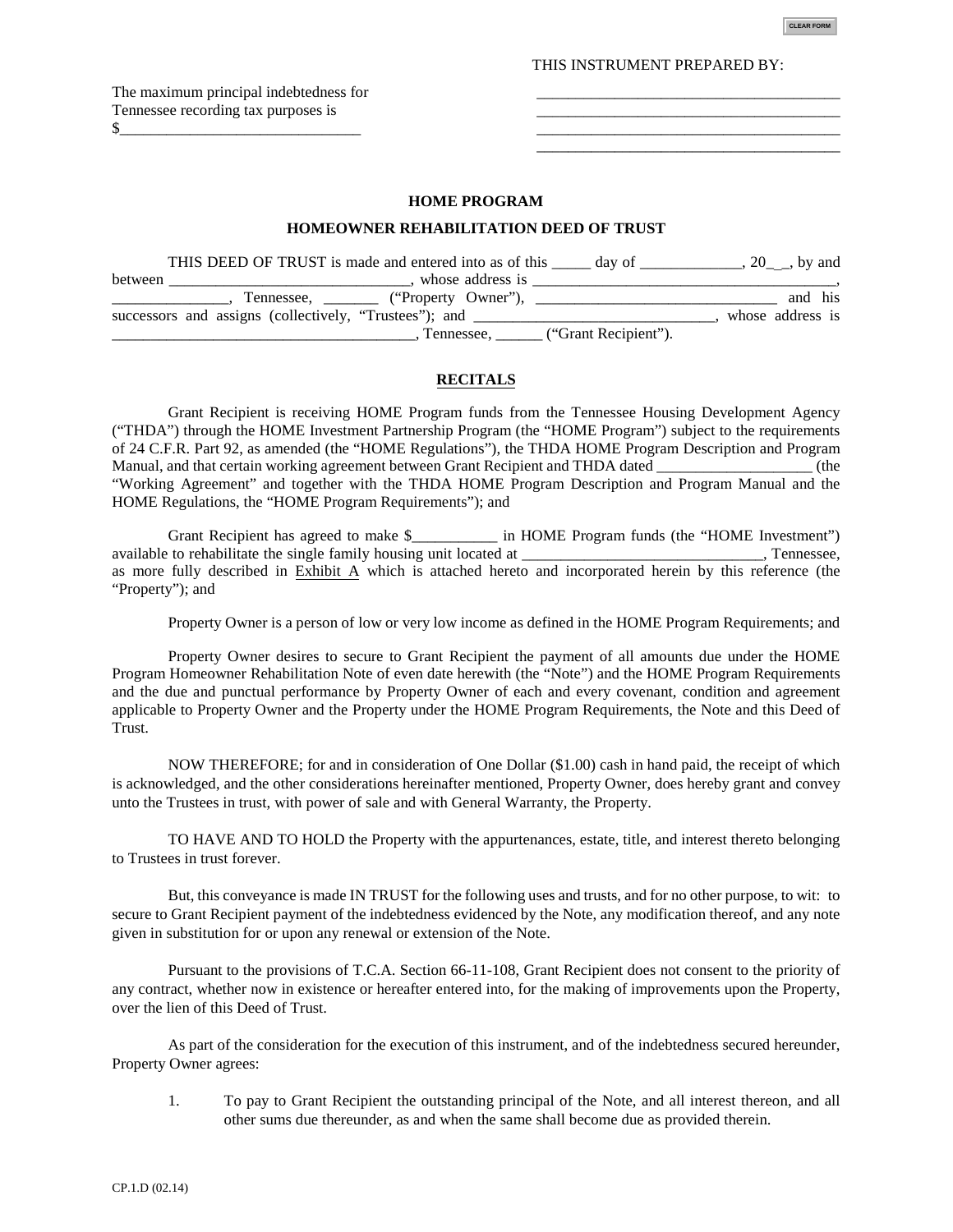**CLEAR FORM**

\_\_\_\_\_\_\_\_\_\_\_\_\_\_\_\_\_\_\_\_\_\_\_\_\_\_\_\_\_\_\_\_\_\_\_\_\_\_\_

THIS INSTRUMENT PREPARED BY:

The maximum principal indebtedness for Tennessee recording tax purposes is  $\frac{1}{2}$ 

### **HOME PROGRAM**

#### **HOMEOWNER REHABILITATION DEED OF TRUST**

|         | THIS DEED OF TRUST is made and entered into as of this<br>day of | $, 20$ , by and  |
|---------|------------------------------------------------------------------|------------------|
| between | whose address is                                                 |                  |
|         | Tennessee, ("Property Owner"),                                   | and his          |
|         | successors and assigns (collectively, "Trustees"); and           | whose address is |
|         | ("Grant Recipient").<br>Tennessee.                               |                  |

#### **RECITALS**

Grant Recipient is receiving HOME Program funds from the Tennessee Housing Development Agency ("THDA") through the HOME Investment Partnership Program (the "HOME Program") subject to the requirements of 24 C.F.R. Part 92, as amended (the "HOME Regulations"), the THDA HOME Program Description and Program Manual, and that certain working agreement between Grant Recipient and THDA dated  $(the$ "Working Agreement" and together with the THDA HOME Program Description and Program Manual and the HOME Regulations, the "HOME Program Requirements"); and

Grant Recipient has agreed to make \$\_\_\_\_\_\_\_\_\_\_\_ in HOME Program funds (the "HOME Investment") available to rehabilitate the single family housing unit located at \_\_\_\_\_\_\_\_\_\_\_\_\_\_\_\_\_\_\_\_\_\_\_\_\_\_\_\_\_, Tennessee, as more fully described in **Exhibit A** which is attached hereto and incorporated herein by this reference (the "Property"); and

Property Owner is a person of low or very low income as defined in the HOME Program Requirements; and

Property Owner desires to secure to Grant Recipient the payment of all amounts due under the HOME Program Homeowner Rehabilitation Note of even date herewith (the "Note") and the HOME Program Requirements and the due and punctual performance by Property Owner of each and every covenant, condition and agreement applicable to Property Owner and the Property under the HOME Program Requirements, the Note and this Deed of Trust.

NOW THEREFORE; for and in consideration of One Dollar (\$1.00) cash in hand paid, the receipt of which is acknowledged, and the other considerations hereinafter mentioned, Property Owner, does hereby grant and convey unto the Trustees in trust, with power of sale and with General Warranty, the Property.

TO HAVE AND TO HOLD the Property with the appurtenances, estate, title, and interest thereto belonging to Trustees in trust forever.

But, this conveyance is made IN TRUST for the following uses and trusts, and for no other purpose, to wit: to secure to Grant Recipient payment of the indebtedness evidenced by the Note, any modification thereof, and any note given in substitution for or upon any renewal or extension of the Note.

Pursuant to the provisions of T.C.A. Section 66-11-108, Grant Recipient does not consent to the priority of any contract, whether now in existence or hereafter entered into, for the making of improvements upon the Property, over the lien of this Deed of Trust.

As part of the consideration for the execution of this instrument, and of the indebtedness secured hereunder, Property Owner agrees:

1. To pay to Grant Recipient the outstanding principal of the Note, and all interest thereon, and all other sums due thereunder, as and when the same shall become due as provided therein.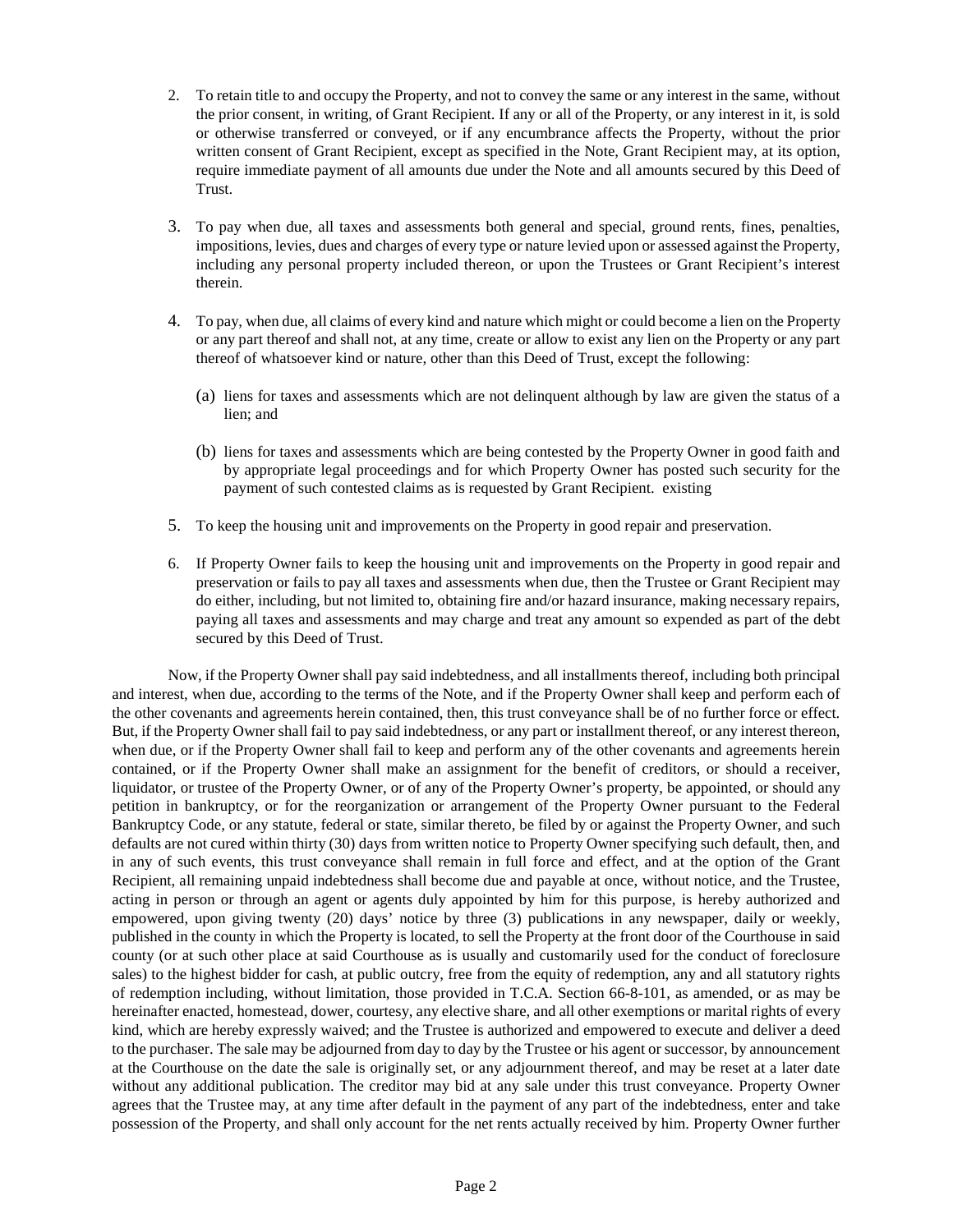- 2. To retain title to and occupy the Property, and not to convey the same or any interest in the same, without the prior consent, in writing, of Grant Recipient. If any or all of the Property, or any interest in it, is sold or otherwise transferred or conveyed, or if any encumbrance affects the Property, without the prior written consent of Grant Recipient, except as specified in the Note, Grant Recipient may, at its option, require immediate payment of all amounts due under the Note and all amounts secured by this Deed of Trust.
- 3. To pay when due, all taxes and assessments both general and special, ground rents, fines, penalties, impositions, levies, dues and charges of every type or nature levied upon or assessed against the Property, including any personal property included thereon, or upon the Trustees or Grant Recipient's interest therein.
- 4. To pay, when due, all claims of every kind and nature which might or could become a lien on the Property or any part thereof and shall not, at any time, create or allow to exist any lien on the Property or any part thereof of whatsoever kind or nature, other than this Deed of Trust, except the following:
	- (a) liens for taxes and assessments which are not delinquent although by law are given the status of a lien; and
	- (b) liens for taxes and assessments which are being contested by the Property Owner in good faith and by appropriate legal proceedings and for which Property Owner has posted such security for the payment of such contested claims as is requested by Grant Recipient. existing
- 5. To keep the housing unit and improvements on the Property in good repair and preservation.
- 6. If Property Owner fails to keep the housing unit and improvements on the Property in good repair and preservation or fails to pay all taxes and assessments when due, then the Trustee or Grant Recipient may do either, including, but not limited to, obtaining fire and/or hazard insurance, making necessary repairs, paying all taxes and assessments and may charge and treat any amount so expended as part of the debt secured by this Deed of Trust.

Now, if the Property Owner shall pay said indebtedness, and all installments thereof, including both principal and interest, when due, according to the terms of the Note, and if the Property Owner shall keep and perform each of the other covenants and agreements herein contained, then, this trust conveyance shall be of no further force or effect. But, if the Property Owner shall fail to pay said indebtedness, or any part or installment thereof, or any interest thereon, when due, or if the Property Owner shall fail to keep and perform any of the other covenants and agreements herein contained, or if the Property Owner shall make an assignment for the benefit of creditors, or should a receiver, liquidator, or trustee of the Property Owner, or of any of the Property Owner's property, be appointed, or should any petition in bankruptcy, or for the reorganization or arrangement of the Property Owner pursuant to the Federal Bankruptcy Code, or any statute, federal or state, similar thereto, be filed by or against the Property Owner, and such defaults are not cured within thirty (30) days from written notice to Property Owner specifying such default, then, and in any of such events, this trust conveyance shall remain in full force and effect, and at the option of the Grant Recipient, all remaining unpaid indebtedness shall become due and payable at once, without notice, and the Trustee, acting in person or through an agent or agents duly appointed by him for this purpose, is hereby authorized and empowered, upon giving twenty (20) days' notice by three (3) publications in any newspaper, daily or weekly, published in the county in which the Property is located, to sell the Property at the front door of the Courthouse in said county (or at such other place at said Courthouse as is usually and customarily used for the conduct of foreclosure sales) to the highest bidder for cash, at public outcry, free from the equity of redemption, any and all statutory rights of redemption including, without limitation, those provided in T.C.A. Section 66-8-101, as amended, or as may be hereinafter enacted, homestead, dower, courtesy, any elective share, and all other exemptions or marital rights of every kind, which are hereby expressly waived; and the Trustee is authorized and empowered to execute and deliver a deed to the purchaser. The sale may be adjourned from day to day by the Trustee or his agent or successor, by announcement at the Courthouse on the date the sale is originally set, or any adjournment thereof, and may be reset at a later date without any additional publication. The creditor may bid at any sale under this trust conveyance. Property Owner agrees that the Trustee may, at any time after default in the payment of any part of the indebtedness, enter and take possession of the Property, and shall only account for the net rents actually received by him. Property Owner further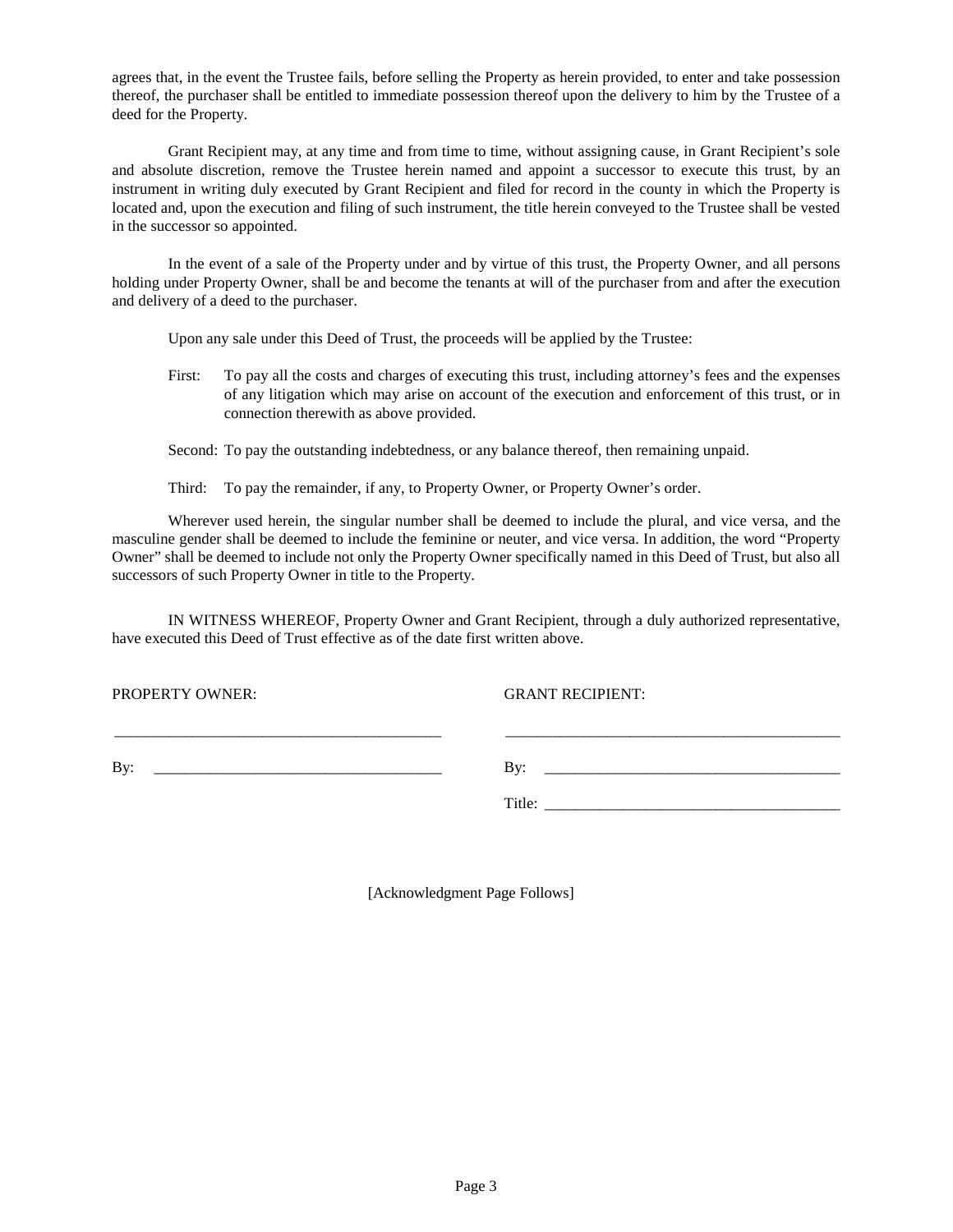agrees that, in the event the Trustee fails, before selling the Property as herein provided, to enter and take possession thereof, the purchaser shall be entitled to immediate possession thereof upon the delivery to him by the Trustee of a deed for the Property.

Grant Recipient may, at any time and from time to time, without assigning cause, in Grant Recipient's sole and absolute discretion, remove the Trustee herein named and appoint a successor to execute this trust, by an instrument in writing duly executed by Grant Recipient and filed for record in the county in which the Property is located and, upon the execution and filing of such instrument, the title herein conveyed to the Trustee shall be vested in the successor so appointed.

In the event of a sale of the Property under and by virtue of this trust, the Property Owner, and all persons holding under Property Owner, shall be and become the tenants at will of the purchaser from and after the execution and delivery of a deed to the purchaser.

Upon any sale under this Deed of Trust, the proceeds will be applied by the Trustee:

First: To pay all the costs and charges of executing this trust, including attorney's fees and the expenses of any litigation which may arise on account of the execution and enforcement of this trust, or in connection therewith as above provided.

Second: To pay the outstanding indebtedness, or any balance thereof, then remaining unpaid.

Third: To pay the remainder, if any, to Property Owner, or Property Owner's order.

Wherever used herein, the singular number shall be deemed to include the plural, and vice versa, and the masculine gender shall be deemed to include the feminine or neuter, and vice versa. In addition, the word "Property Owner" shall be deemed to include not only the Property Owner specifically named in this Deed of Trust, but also all successors of such Property Owner in title to the Property.

IN WITNESS WHEREOF, Property Owner and Grant Recipient, through a duly authorized representative, have executed this Deed of Trust effective as of the date first written above.

\_\_\_\_\_\_\_\_\_\_\_\_\_\_\_\_\_\_\_\_\_\_\_\_\_\_\_\_\_\_\_\_\_\_\_\_\_\_\_\_\_\_ \_\_\_\_\_\_\_\_\_\_\_\_\_\_\_\_\_\_\_\_\_\_\_\_\_\_\_\_\_\_\_\_\_\_\_\_\_\_\_\_\_\_\_

PROPERTY OWNER: GRANT RECIPIENT:

By: \_\_\_\_\_\_\_\_\_\_\_\_\_\_\_\_\_\_\_\_\_\_\_\_\_\_\_\_\_\_\_\_\_\_\_\_\_ By: \_\_\_\_\_\_\_\_\_\_\_\_\_\_\_\_\_\_\_\_\_\_\_\_\_\_\_\_\_\_\_\_\_\_\_\_\_\_

Title: \_\_\_\_\_\_\_\_\_\_\_\_\_\_\_\_\_\_\_\_\_\_\_\_\_\_\_\_\_\_\_\_\_\_\_\_\_\_

[Acknowledgment Page Follows]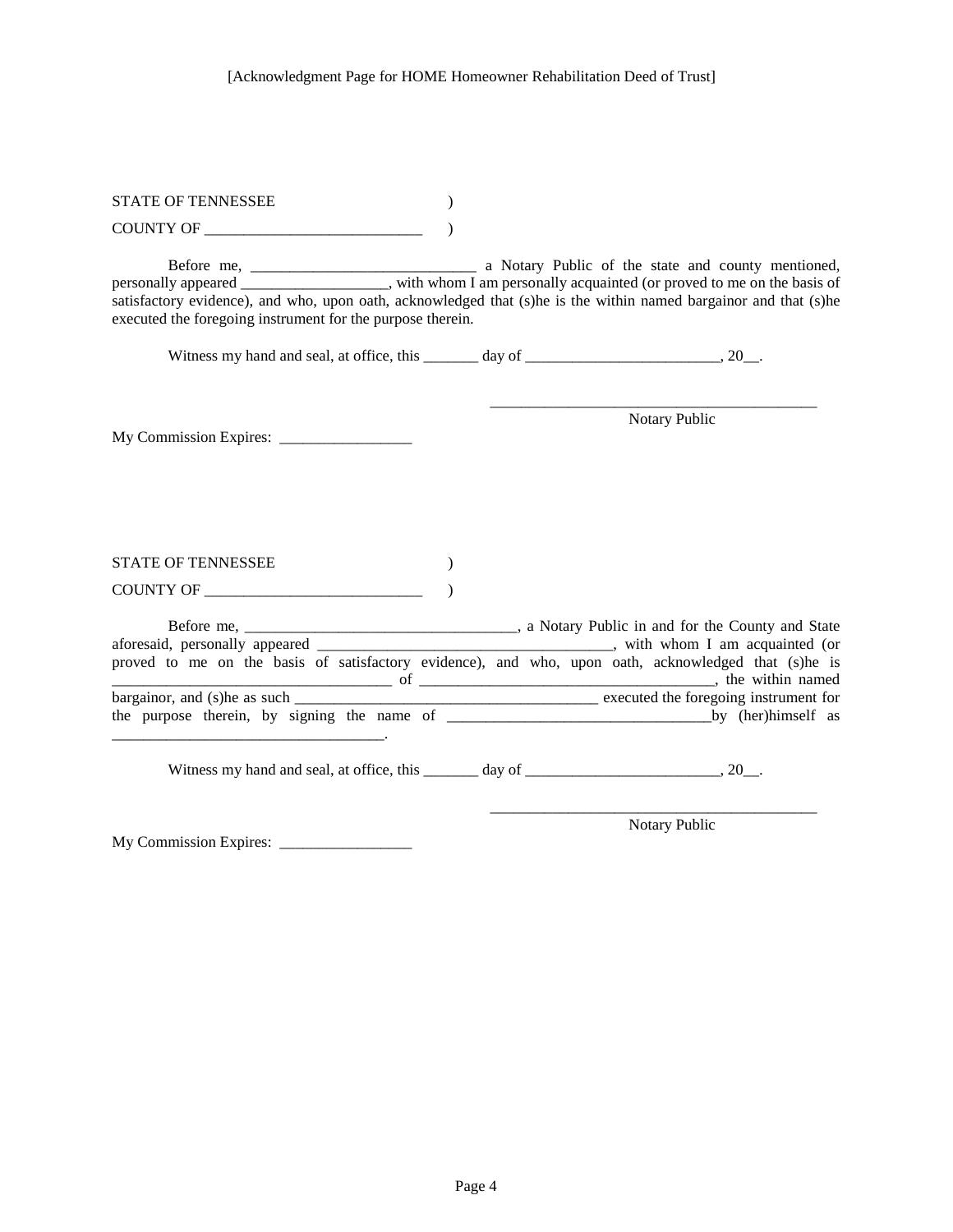| <b>STATE OF TENNESSEE</b>                                                                                                                                                                                                                                                                     |  |                                       |
|-----------------------------------------------------------------------------------------------------------------------------------------------------------------------------------------------------------------------------------------------------------------------------------------------|--|---------------------------------------|
| COUNTY OF                                                                                                                                                                                                                                                                                     |  |                                       |
| personally appeared ________________, with whom I am personally acquainted (or proved to me on the basis of<br>satisfactory evidence), and who, upon oath, acknowledged that (s)he is the within named bargainor and that (s)he<br>executed the foregoing instrument for the purpose therein. |  |                                       |
| Witness my hand and seal, at office, this _______ day of ________________________, 20__.                                                                                                                                                                                                      |  |                                       |
|                                                                                                                                                                                                                                                                                               |  | Notary Public                         |
| <b>STATE OF TENNESSEE</b>                                                                                                                                                                                                                                                                     |  |                                       |
|                                                                                                                                                                                                                                                                                               |  |                                       |
| aforesaid, personally appeared ___________________________________, with whom I am acquainted (or<br>proved to me on the basis of satisfactory evidence), and who, upon oath, acknowledged that (s)he is                                                                                      |  | executed the foregoing instrument for |
|                                                                                                                                                                                                                                                                                               |  |                                       |
| Witness my hand and seal, at office, this _______ day of ________________________, 20__.                                                                                                                                                                                                      |  |                                       |
|                                                                                                                                                                                                                                                                                               |  | Notary Public                         |

My Commission Expires: \_\_\_\_\_\_\_\_\_\_\_\_\_\_\_\_\_